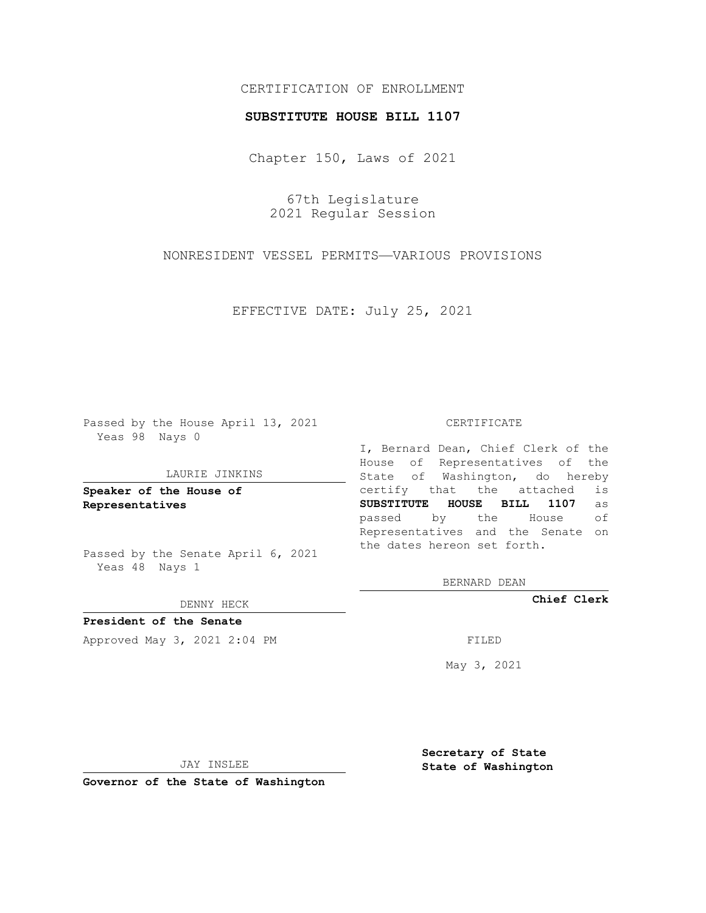# CERTIFICATION OF ENROLLMENT

### **SUBSTITUTE HOUSE BILL 1107**

Chapter 150, Laws of 2021

67th Legislature 2021 Regular Session

NONRESIDENT VESSEL PERMITS—VARIOUS PROVISIONS

EFFECTIVE DATE: July 25, 2021

Passed by the House April 13, 2021 Yeas 98 Nays 0

#### LAURIE JINKINS

**Speaker of the House of Representatives**

Passed by the Senate April 6, 2021 Yeas 48 Nays 1

#### DENNY HECK

**President of the Senate** Approved May 3, 2021 2:04 PM FILED

#### CERTIFICATE

I, Bernard Dean, Chief Clerk of the House of Representatives of the State of Washington, do hereby certify that the attached is **SUBSTITUTE HOUSE BILL 1107** as passed by the House of Representatives and the Senate on the dates hereon set forth.

BERNARD DEAN

**Chief Clerk**

May 3, 2021

**Secretary of State**

JAY INSLEE

 **State of Washington**

**Governor of the State of Washington**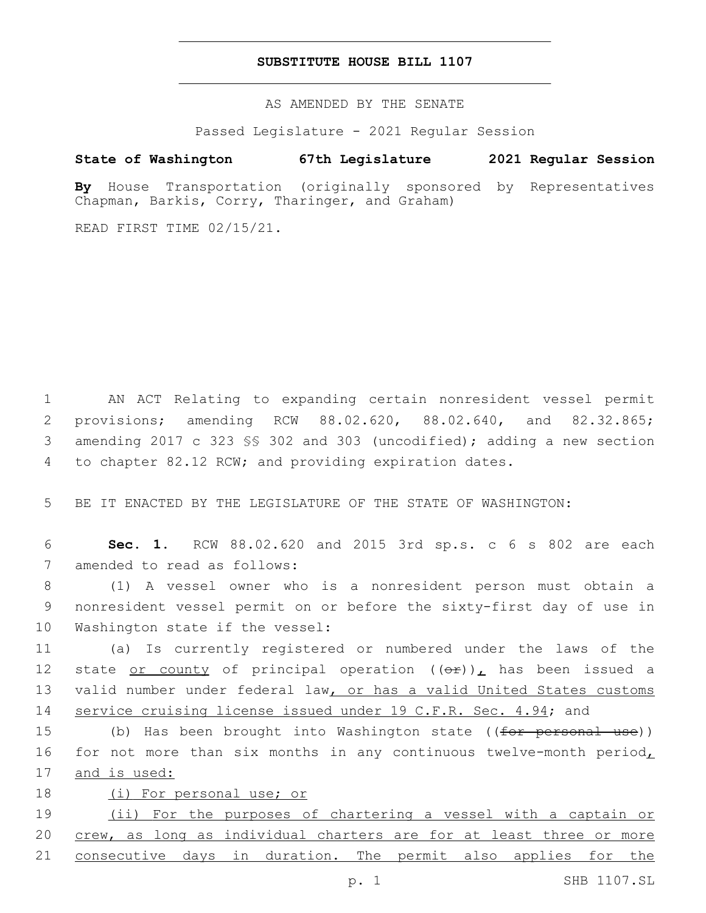## **SUBSTITUTE HOUSE BILL 1107**

AS AMENDED BY THE SENATE

Passed Legislature - 2021 Regular Session

# **State of Washington 67th Legislature 2021 Regular Session**

**By** House Transportation (originally sponsored by Representatives Chapman, Barkis, Corry, Tharinger, and Graham)

READ FIRST TIME 02/15/21.

 AN ACT Relating to expanding certain nonresident vessel permit provisions; amending RCW 88.02.620, 88.02.640, and 82.32.865; amending 2017 c 323 §§ 302 and 303 (uncodified); adding a new section to chapter 82.12 RCW; and providing expiration dates.

5 BE IT ENACTED BY THE LEGISLATURE OF THE STATE OF WASHINGTON:

6 **Sec. 1.** RCW 88.02.620 and 2015 3rd sp.s. c 6 s 802 are each 7 amended to read as follows:

8 (1) A vessel owner who is a nonresident person must obtain a 9 nonresident vessel permit on or before the sixty-first day of use in 10 Washington state if the vessel:

 (a) Is currently registered or numbered under the laws of the 12 state or county of principal operation  $((\Theta \div))_{L}$  has been issued a valid number under federal law, or has a valid United States customs service cruising license issued under 19 C.F.R. Sec. 4.94; and

15 (b) Has been brought into Washington state ((<del>for personal use</del>)) 16 for not more than six months in any continuous twelve-month period, 17 and is used:

18 (i) For personal use; or

19 (ii) For the purposes of chartering a vessel with a captain or 20 crew, as long as individual charters are for at least three or more 21 consecutive days in duration. The permit also applies for the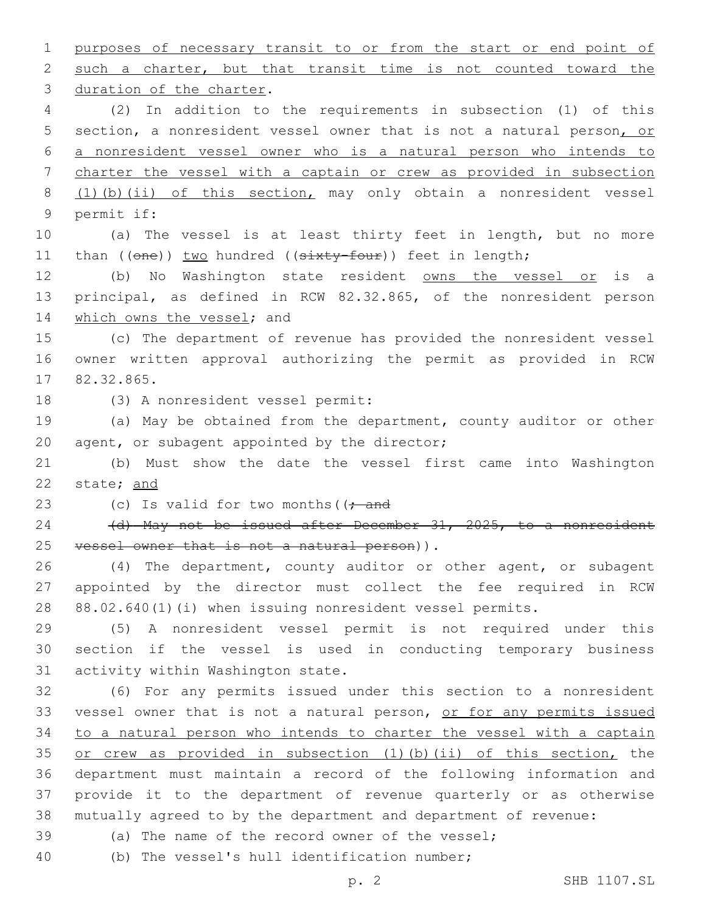purposes of necessary transit to or from the start or end point of such a charter, but that transit time is not counted toward the 3 duration of the charter.

 (2) In addition to the requirements in subsection (1) of this section, a nonresident vessel owner that is not a natural person, or a nonresident vessel owner who is a natural person who intends to charter the vessel with a captain or crew as provided in subsection (1)(b)(ii) of this section, may only obtain a nonresident vessel 9 permit if:

 (a) The vessel is at least thirty feet in length, but no more 11 than ((one)) two hundred ((sixty-four)) feet in length;

12 (b) No Washington state resident owns the vessel or is a principal, as defined in RCW 82.32.865, of the nonresident person 14 which owns the vessel; and

 (c) The department of revenue has provided the nonresident vessel owner written approval authorizing the permit as provided in RCW 17 82.32.865.

18 (3) A nonresident vessel permit:

 (a) May be obtained from the department, county auditor or other 20 agent, or subagent appointed by the director;

 (b) Must show the date the vessel first came into Washington state; and

23 (c) Is valid for two months  $($   $\frac{1}{2}$  and

24 (d) May not be issued after December 31, 2025, to a nonresident 25 vessel owner that is not a natural person)).

 (4) The department, county auditor or other agent, or subagent appointed by the director must collect the fee required in RCW 88.02.640(1)(i) when issuing nonresident vessel permits.

 (5) A nonresident vessel permit is not required under this section if the vessel is used in conducting temporary business 31 activity within Washington state.

 (6) For any permits issued under this section to a nonresident 33 vessel owner that is not a natural person, or for any permits issued to a natural person who intends to charter the vessel with a captain or crew as provided in subsection (1)(b)(ii) of this section, the department must maintain a record of the following information and provide it to the department of revenue quarterly or as otherwise mutually agreed to by the department and department of revenue:

(a) The name of the record owner of the vessel;

40 (b) The vessel's hull identification number;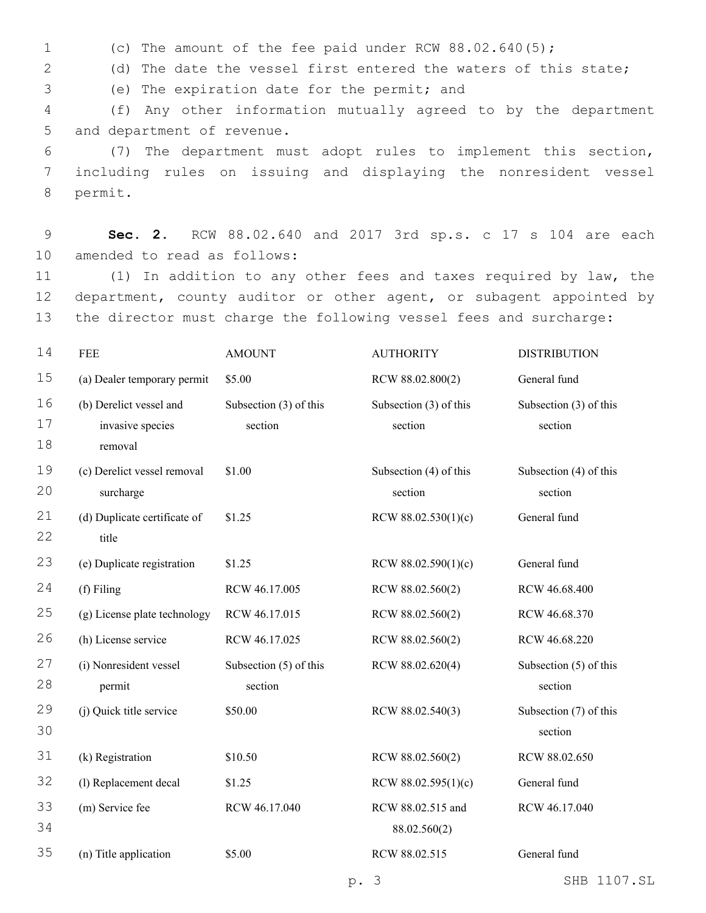1 (c) The amount of the fee paid under RCW 88.02.640(5);

2 (d) The date the vessel first entered the waters of this state;

(e) The expiration date for the permit; and3

4 (f) Any other information mutually agreed to by the department 5 and department of revenue.

6 (7) The department must adopt rules to implement this section, 7 including rules on issuing and displaying the nonresident vessel 8 permit.

9 **Sec. 2.** RCW 88.02.640 and 2017 3rd sp.s. c 17 s 104 are each 10 amended to read as follows:

11 (1) In addition to any other fees and taxes required by law, the 12 department, county auditor or other agent, or subagent appointed by 13 the director must charge the following vessel fees and surcharge:

| 14             | <b>FEE</b>                                          | <b>AMOUNT</b>                     | <b>AUTHORITY</b>                  | <b>DISTRIBUTION</b>               |
|----------------|-----------------------------------------------------|-----------------------------------|-----------------------------------|-----------------------------------|
| 15             | (a) Dealer temporary permit                         | \$5.00                            | RCW 88.02.800(2)                  | General fund                      |
| 16<br>17       | (b) Derelict vessel and<br>invasive species         | Subsection (3) of this<br>section | Subsection (3) of this<br>section | Subsection (3) of this<br>section |
| 18<br>19<br>20 | removal<br>(c) Derelict vessel removal<br>surcharge | \$1.00                            | Subsection (4) of this<br>section | Subsection (4) of this<br>section |
| 21<br>22       | (d) Duplicate certificate of<br>title               | \$1.25                            | RCW $88.02.530(1)(c)$             | General fund                      |
| 23             | (e) Duplicate registration                          | \$1.25                            | RCW $88.02.590(1)(c)$             | General fund                      |
| 24             | (f) Filing                                          | RCW 46.17.005                     | RCW 88.02.560(2)                  | RCW 46.68.400                     |
| 25             | (g) License plate technology                        | RCW 46.17.015                     | RCW 88.02.560(2)                  | RCW 46.68.370                     |
| 26             | (h) License service                                 | RCW 46.17.025                     | RCW 88.02.560(2)                  | RCW 46.68.220                     |
| 27<br>28       | (i) Nonresident vessel<br>permit                    | Subsection (5) of this<br>section | RCW 88.02.620(4)                  | Subsection (5) of this<br>section |
| 29<br>30       | (j) Quick title service                             | \$50.00                           | RCW 88.02.540(3)                  | Subsection (7) of this<br>section |
| 31             | (k) Registration                                    | \$10.50                           | RCW 88.02.560(2)                  | RCW 88.02.650                     |
| 32             | (l) Replacement decal                               | \$1.25                            | RCW $88.02.595(1)(c)$             | General fund                      |
| 33<br>34       | (m) Service fee                                     | RCW 46.17.040                     | RCW 88.02.515 and<br>88.02.560(2) | RCW 46.17.040                     |
| 35             | (n) Title application                               | \$5.00                            | RCW 88.02.515                     | General fund                      |
|                |                                                     |                                   | $\mathcal{S}$<br>$p$ .            | 1107.SL<br>SHB                    |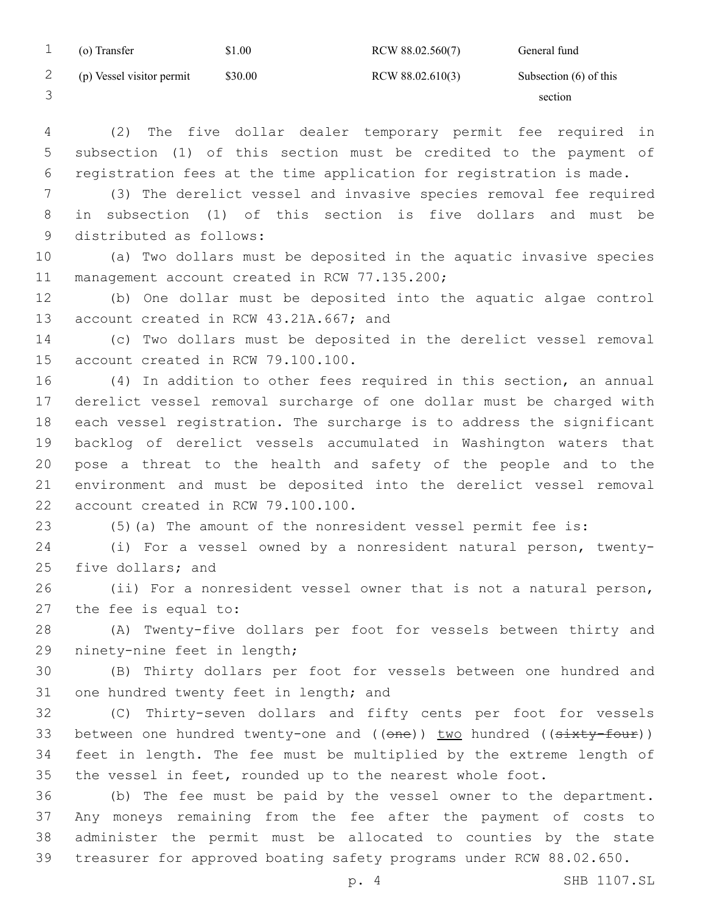| (o) Transfer              | \$1.00  | RCW 88.02.560(7) | General fund             |
|---------------------------|---------|------------------|--------------------------|
| (p) Vessel visitor permit | \$30.00 | RCW 88.02.610(3) | Subsection $(6)$ of this |
|                           |         |                  | section                  |

 (2) The five dollar dealer temporary permit fee required in subsection (1) of this section must be credited to the payment of registration fees at the time application for registration is made.

 (3) The derelict vessel and invasive species removal fee required in subsection (1) of this section is five dollars and must be 9 distributed as follows:

 (a) Two dollars must be deposited in the aquatic invasive species 11 management account created in RCW 77.135.200;

 (b) One dollar must be deposited into the aquatic algae control 13 account created in RCW 43.21A.667; and

 (c) Two dollars must be deposited in the derelict vessel removal 15 account created in RCW 79.100.100.

 (4) In addition to other fees required in this section, an annual derelict vessel removal surcharge of one dollar must be charged with each vessel registration. The surcharge is to address the significant backlog of derelict vessels accumulated in Washington waters that pose a threat to the health and safety of the people and to the environment and must be deposited into the derelict vessel removal 22 account created in RCW 79.100.100.

(5)(a) The amount of the nonresident vessel permit fee is:

 (i) For a vessel owned by a nonresident natural person, twenty-25 five dollars; and

 (ii) For a nonresident vessel owner that is not a natural person, 27 the fee is equal to:

 (A) Twenty-five dollars per foot for vessels between thirty and 29 ninety-nine feet in length;

 (B) Thirty dollars per foot for vessels between one hundred and 31 one hundred twenty feet in length; and

 (C) Thirty-seven dollars and fifty cents per foot for vessels 33 between one hundred twenty-one and ((one)) two hundred ((sixty-four)) feet in length. The fee must be multiplied by the extreme length of the vessel in feet, rounded up to the nearest whole foot.

 (b) The fee must be paid by the vessel owner to the department. Any moneys remaining from the fee after the payment of costs to administer the permit must be allocated to counties by the state treasurer for approved boating safety programs under RCW 88.02.650.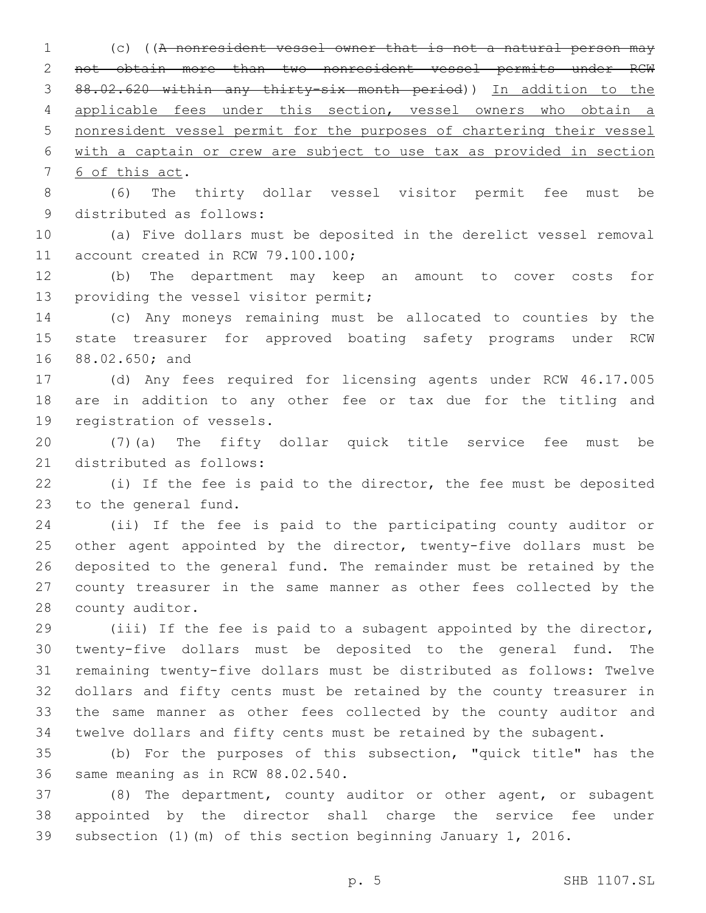(c) ((A nonresident vessel owner that is not a natural person may not obtain more than two nonresident vessel permits under RCW 88.02.620 within any thirty-six month period)) In addition to the applicable fees under this section, vessel owners who obtain a nonresident vessel permit for the purposes of chartering their vessel with a captain or crew are subject to use tax as provided in section 7 6 of this act.

 (6) The thirty dollar vessel visitor permit fee must be 9 distributed as follows:

 (a) Five dollars must be deposited in the derelict vessel removal 11 account created in RCW 79.100.100;

 (b) The department may keep an amount to cover costs for 13 providing the vessel visitor permit;

 (c) Any moneys remaining must be allocated to counties by the state treasurer for approved boating safety programs under RCW 16 88.02.650; and

 (d) Any fees required for licensing agents under RCW 46.17.005 are in addition to any other fee or tax due for the titling and 19 registration of vessels.

 (7)(a) The fifty dollar quick title service fee must be 21 distributed as follows:

 (i) If the fee is paid to the director, the fee must be deposited 23 to the general fund.

 (ii) If the fee is paid to the participating county auditor or 25 other agent appointed by the director, twenty-five dollars must be deposited to the general fund. The remainder must be retained by the county treasurer in the same manner as other fees collected by the 28 county auditor.

 (iii) If the fee is paid to a subagent appointed by the director, twenty-five dollars must be deposited to the general fund. The remaining twenty-five dollars must be distributed as follows: Twelve dollars and fifty cents must be retained by the county treasurer in the same manner as other fees collected by the county auditor and twelve dollars and fifty cents must be retained by the subagent.

 (b) For the purposes of this subsection, "quick title" has the 36 same meaning as in RCW 88.02.540.

 (8) The department, county auditor or other agent, or subagent appointed by the director shall charge the service fee under subsection (1)(m) of this section beginning January 1, 2016.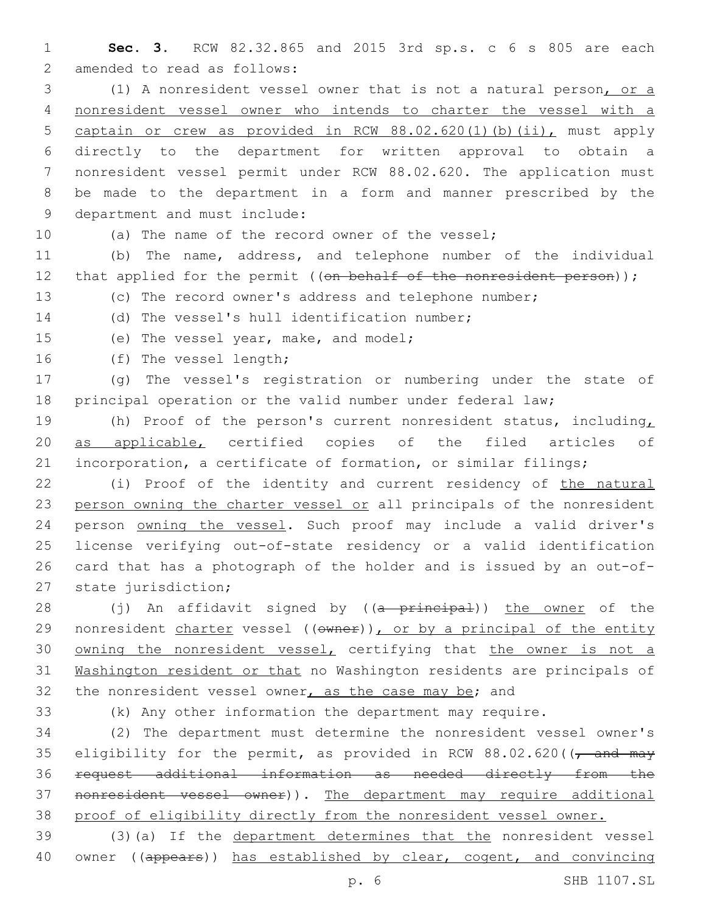**Sec. 3.** RCW 82.32.865 and 2015 3rd sp.s. c 6 s 805 are each 2 amended to read as follows:

 (1) A nonresident vessel owner that is not a natural person, or a nonresident vessel owner who intends to charter the vessel with a captain or crew as provided in RCW 88.02.620(1)(b)(ii), must apply directly to the department for written approval to obtain a nonresident vessel permit under RCW 88.02.620. The application must be made to the department in a form and manner prescribed by the 9 department and must include:

(a) The name of the record owner of the vessel;

 (b) The name, address, and telephone number of the individual 12 that applied for the permit ((on behalf of the nonresident person));

(c) The record owner's address and telephone number;

14 (d) The vessel's hull identification number;

15 (e) The vessel year, make, and model;

16 (f) The vessel length;

 (g) The vessel's registration or numbering under the state of 18 principal operation or the valid number under federal law;

 (h) Proof of the person's current nonresident status, including, as applicable, certified copies of the filed articles of incorporation, a certificate of formation, or similar filings;

 (i) Proof of the identity and current residency of the natural person owning the charter vessel or all principals of the nonresident 24 person owning the vessel. Such proof may include a valid driver's license verifying out-of-state residency or a valid identification card that has a photograph of the holder and is issued by an out-of-27 state jurisdiction;

28 (j) An affidavit signed by ((a principal)) the owner of the 29 nonresident charter vessel ((owner)), or by a principal of the entity 30 owning the nonresident vessel, certifying that the owner is not a Washington resident or that no Washington residents are principals of 32 the nonresident vessel owner, as the case may be; and

(k) Any other information the department may require.

 (2) The department must determine the nonresident vessel owner's 35 eligibility for the permit, as provided in RCW  $88.02.620$  ( $\sqrt{7}$  and may request additional information as needed directly from the nonresident vessel owner)). The department may require additional proof of eligibility directly from the nonresident vessel owner.

 (3)(a) If the department determines that the nonresident vessel 40 owner ((appears)) has established by clear, cogent, and convincing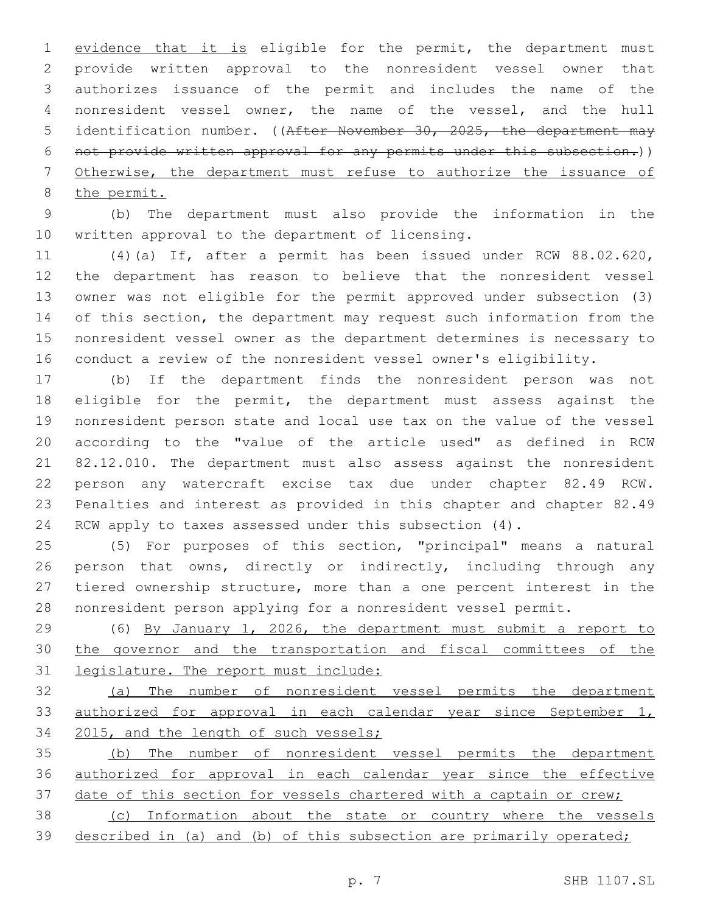1 evidence that it is eligible for the permit, the department must provide written approval to the nonresident vessel owner that authorizes issuance of the permit and includes the name of the nonresident vessel owner, the name of the vessel, and the hull 5 identification number. ((After November 30, 2025, the department may not provide written approval for any permits under this subsection.)) Otherwise, the department must refuse to authorize the issuance of the permit.

 (b) The department must also provide the information in the 10 written approval to the department of licensing.

 (4)(a) If, after a permit has been issued under RCW 88.02.620, the department has reason to believe that the nonresident vessel owner was not eligible for the permit approved under subsection (3) of this section, the department may request such information from the nonresident vessel owner as the department determines is necessary to conduct a review of the nonresident vessel owner's eligibility.

 (b) If the department finds the nonresident person was not eligible for the permit, the department must assess against the nonresident person state and local use tax on the value of the vessel according to the "value of the article used" as defined in RCW 82.12.010. The department must also assess against the nonresident person any watercraft excise tax due under chapter 82.49 RCW. Penalties and interest as provided in this chapter and chapter 82.49 RCW apply to taxes assessed under this subsection (4).

 (5) For purposes of this section, "principal" means a natural 26 person that owns, directly or indirectly, including through any tiered ownership structure, more than a one percent interest in the nonresident person applying for a nonresident vessel permit.

 (6) By January 1, 2026, the department must submit a report to the governor and the transportation and fiscal committees of the legislature. The report must include:

 (a) The number of nonresident vessel permits the department 33 authorized for approval in each calendar year since September 1, 2015, and the length of such vessels;

 (b) The number of nonresident vessel permits the department authorized for approval in each calendar year since the effective 37 date of this section for vessels chartered with a captain or crew;

 (c) Information about the state or country where the vessels described in (a) and (b) of this subsection are primarily operated;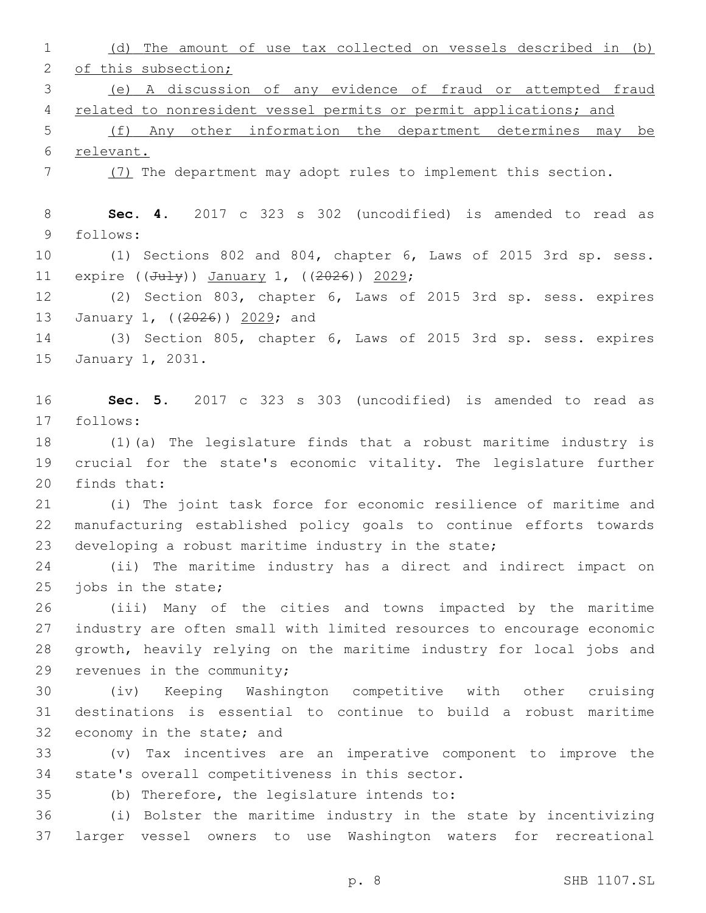(d) The amount of use tax collected on vessels described in (b) 2 of this subsection; (e) A discussion of any evidence of fraud or attempted fraud related to nonresident vessel permits or permit applications; and (f) Any other information the department determines may be relevant. (7) The department may adopt rules to implement this section. **Sec. 4.** 2017 c 323 s 302 (uncodified) is amended to read as follows:9 (1) Sections 802 and 804, chapter 6, Laws of 2015 3rd sp. sess. 11 expire  $((Ju1y))$  January 1,  $((2026))$  2029; (2) Section 803, chapter 6, Laws of 2015 3rd sp. sess. expires 13 January 1, ((2026)) 2029; and (3) Section 805, chapter 6, Laws of 2015 3rd sp. sess. expires 15 January 1, 2031. **Sec. 5.** 2017 c 323 s 303 (uncodified) is amended to read as follows:17 (1)(a) The legislature finds that a robust maritime industry is crucial for the state's economic vitality. The legislature further 20 finds that: (i) The joint task force for economic resilience of maritime and manufacturing established policy goals to continue efforts towards 23 developing a robust maritime industry in the state; (ii) The maritime industry has a direct and indirect impact on 25 jobs in the state; (iii) Many of the cities and towns impacted by the maritime industry are often small with limited resources to encourage economic growth, heavily relying on the maritime industry for local jobs and 29 revenues in the community; (iv) Keeping Washington competitive with other cruising destinations is essential to continue to build a robust maritime 32 economy in the state; and (v) Tax incentives are an imperative component to improve the 34 state's overall competitiveness in this sector. (b) Therefore, the legislature intends to: (i) Bolster the maritime industry in the state by incentivizing larger vessel owners to use Washington waters for recreational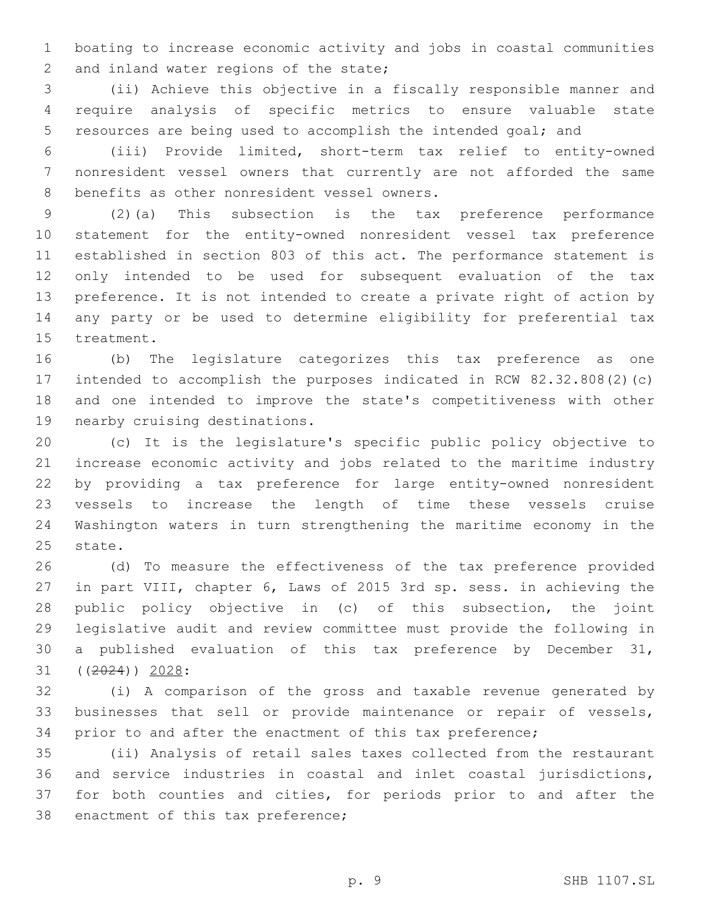boating to increase economic activity and jobs in coastal communities 2 and inland water regions of the state;

 (ii) Achieve this objective in a fiscally responsible manner and require analysis of specific metrics to ensure valuable state resources are being used to accomplish the intended goal; and

 (iii) Provide limited, short-term tax relief to entity-owned nonresident vessel owners that currently are not afforded the same 8 benefits as other nonresident vessel owners.

 (2)(a) This subsection is the tax preference performance statement for the entity-owned nonresident vessel tax preference established in section 803 of this act. The performance statement is only intended to be used for subsequent evaluation of the tax preference. It is not intended to create a private right of action by any party or be used to determine eligibility for preferential tax 15 treatment.

 (b) The legislature categorizes this tax preference as one intended to accomplish the purposes indicated in RCW 82.32.808(2)(c) and one intended to improve the state's competitiveness with other 19 nearby cruising destinations.

 (c) It is the legislature's specific public policy objective to increase economic activity and jobs related to the maritime industry by providing a tax preference for large entity-owned nonresident vessels to increase the length of time these vessels cruise Washington waters in turn strengthening the maritime economy in the 25 state.

 (d) To measure the effectiveness of the tax preference provided in part VIII, chapter 6, Laws of 2015 3rd sp. sess. in achieving the public policy objective in (c) of this subsection, the joint legislative audit and review committee must provide the following in a published evaluation of this tax preference by December 31, 31 ((<del>2024</del>)) 2028:

 (i) A comparison of the gross and taxable revenue generated by businesses that sell or provide maintenance or repair of vessels, prior to and after the enactment of this tax preference;

 (ii) Analysis of retail sales taxes collected from the restaurant and service industries in coastal and inlet coastal jurisdictions, for both counties and cities, for periods prior to and after the 38 enactment of this tax preference;